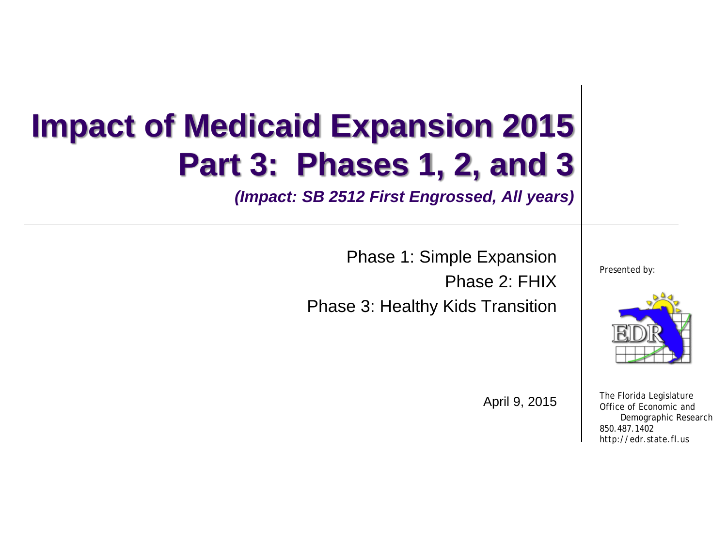# **Impact of Medicaid Expansion 2015 Part 3: Phases 1, 2, and 3**

*(Impact: SB 2512 First Engrossed, All years)*

Phase 1: Simple Expansion

Phase 2: FHIX

Phase 3: Healthy Kids Transition

Presented by:



The Florida Legislature Office of Economic and Demographic Research 850.487.1402 http://edr.state.fl.us

April 9, 2015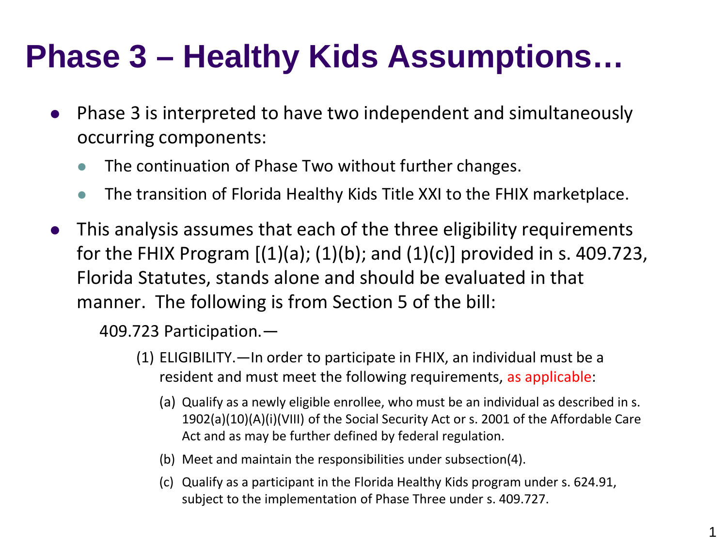- Phase 3 is interpreted to have two independent and simultaneously occurring components:
	- The continuation of Phase Two without further changes.
	- The transition of Florida Healthy Kids Title XXI to the FHIX marketplace.
- This analysis assumes that each of the three eligibility requirements for the FHIX Program  $[(1)(a); (1)(b);$  and  $(1)(c)]$  provided in s. 409.723, Florida Statutes, stands alone and should be evaluated in that manner. The following is from Section 5 of the bill:

409.723 Participation.—

- (1) ELIGIBILITY.—In order to participate in FHIX, an individual must be a resident and must meet the following requirements, as applicable:
	- (a) Qualify as a newly eligible enrollee, who must be an individual as described in s. 1902(a)(10)(A)(i)(VIII) of the Social Security Act or s. 2001 of the Affordable Care Act and as may be further defined by federal regulation.
	- (b) Meet and maintain the responsibilities under subsection(4).
	- (c) Qualify as a participant in the Florida Healthy Kids program under s. 624.91, subject to the implementation of Phase Three under s. 409.727.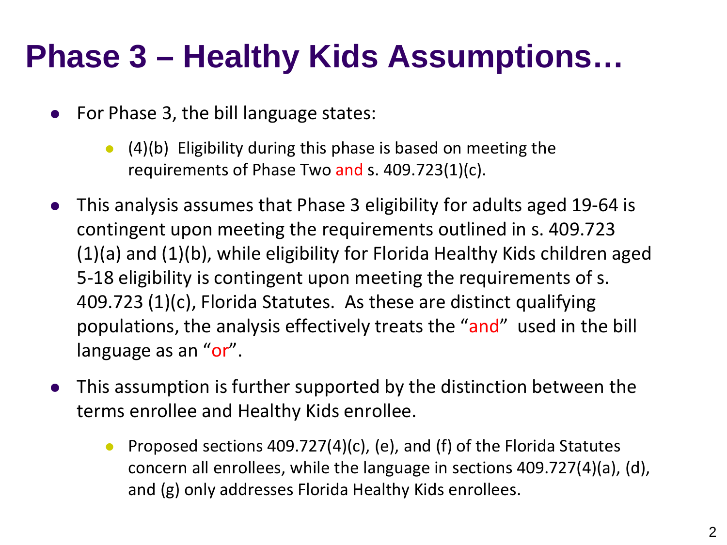- For Phase 3, the bill language states:
	- $(4)(b)$  Eligibility during this phase is based on meeting the requirements of Phase Two and s. 409.723(1)(c).
- This analysis assumes that Phase 3 eligibility for adults aged 19-64 is contingent upon meeting the requirements outlined in s. 409.723 (1)(a) and (1)(b), while eligibility for Florida Healthy Kids children aged 5-18 eligibility is contingent upon meeting the requirements of s. 409.723 (1)(c), Florida Statutes. As these are distinct qualifying populations, the analysis effectively treats the "and" used in the bill language as an "or".
- This assumption is further supported by the distinction between the terms enrollee and Healthy Kids enrollee.
	- **•** Proposed sections 409.727(4)(c), (e), and (f) of the Florida Statutes concern all enrollees, while the language in sections 409.727(4)(a), (d), and (g) only addresses Florida Healthy Kids enrollees.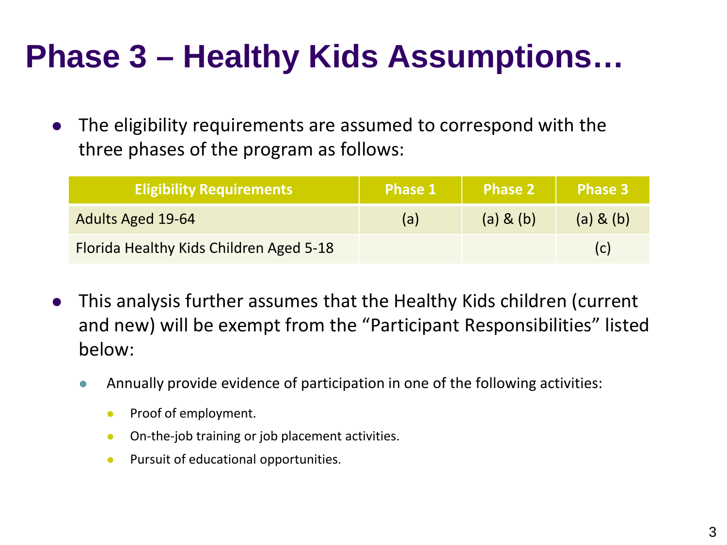The eligibility requirements are assumed to correspond with the three phases of the program as follows:

| <b>Eligibility Requirements</b>         | <b>Phase 1</b> | <b>Phase 2</b> | Phase 3   |
|-----------------------------------------|----------------|----------------|-----------|
| <b>Adults Aged 19-64</b>                | (a)            | (a) 8(b)       | (a) & (b) |
| Florida Healthy Kids Children Aged 5-18 |                |                |           |

- This analysis further assumes that the Healthy Kids children (current and new) will be exempt from the "Participant Responsibilities" listed below:
	- Annually provide evidence of participation in one of the following activities:
		- **•** Proof of employment.
		- **•** On-the-job training or job placement activities.
		- **•** Pursuit of educational opportunities.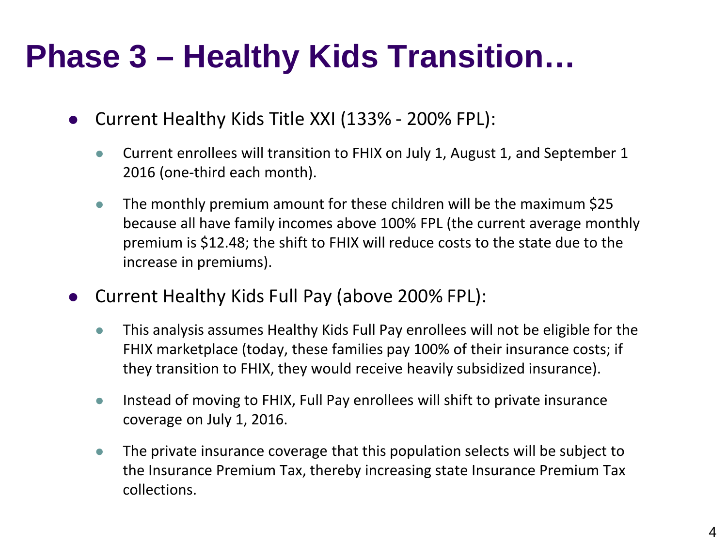# **Phase 3 – Healthy Kids Transition…**

- Current Healthy Kids Title XXI (133% 200% FPL):
	- Current enrollees will transition to FHIX on July 1, August 1, and September 1 2016 (one-third each month).
	- The monthly premium amount for these children will be the maximum \$25 because all have family incomes above 100% FPL (the current average monthly premium is \$12.48; the shift to FHIX will reduce costs to the state due to the increase in premiums).
- Current Healthy Kids Full Pay (above 200% FPL):
	- This analysis assumes Healthy Kids Full Pay enrollees will not be eligible for the FHIX marketplace (today, these families pay 100% of their insurance costs; if they transition to FHIX, they would receive heavily subsidized insurance).
	- Instead of moving to FHIX, Full Pay enrollees will shift to private insurance coverage on July 1, 2016.
	- The private insurance coverage that this population selects will be subject to the Insurance Premium Tax, thereby increasing state Insurance Premium Tax collections.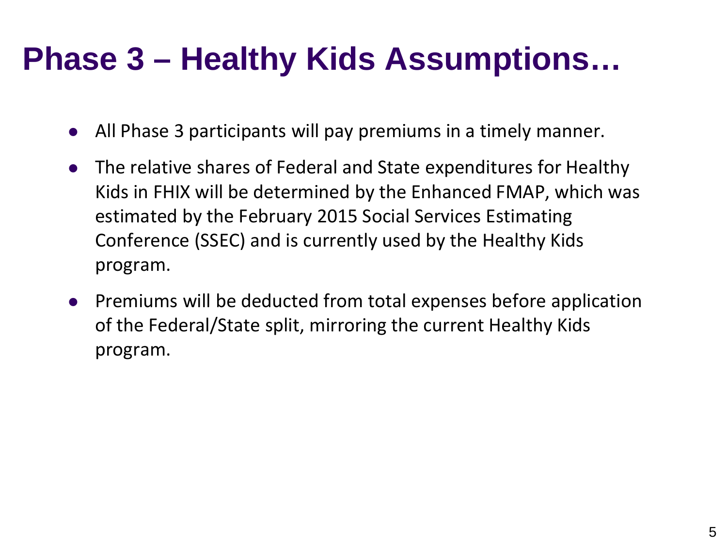- All Phase 3 participants will pay premiums in a timely manner.
- The relative shares of Federal and State expenditures for Healthy Kids in FHIX will be determined by the Enhanced FMAP, which was estimated by the February 2015 Social Services Estimating Conference (SSEC) and is currently used by the Healthy Kids program.
- Premiums will be deducted from total expenses before application of the Federal/State split, mirroring the current Healthy Kids program.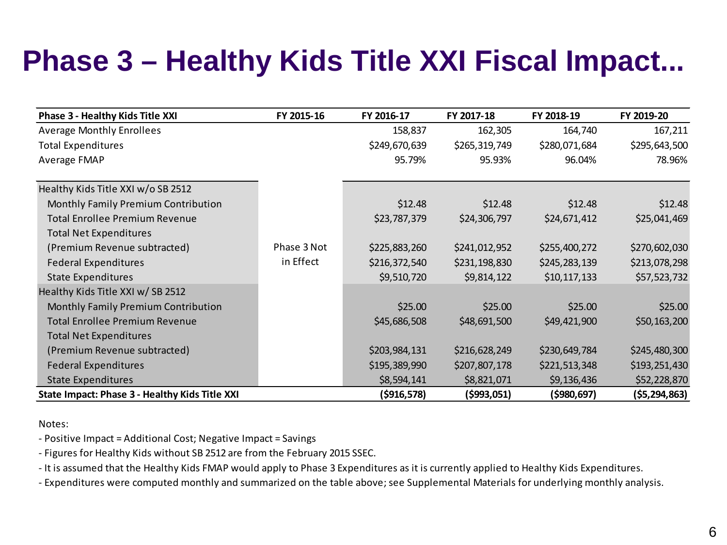### **Phase 3 – Healthy Kids Title XXI Fiscal Impact...**

| Phase 3 - Healthy Kids Title XXI               | FY 2015-16  | FY 2016-17    | FY 2017-18    | FY 2018-19    | FY 2019-20    |
|------------------------------------------------|-------------|---------------|---------------|---------------|---------------|
| <b>Average Monthly Enrollees</b>               |             | 158,837       | 162,305       | 164,740       | 167,211       |
| <b>Total Expenditures</b>                      |             | \$249,670,639 | \$265,319,749 | \$280,071,684 | \$295,643,500 |
| Average FMAP                                   |             | 95.79%        | 95.93%        | 96.04%        | 78.96%        |
| Healthy Kids Title XXI w/o SB 2512             |             |               |               |               |               |
| Monthly Family Premium Contribution            |             | \$12.48       | \$12.48       | \$12.48       | \$12.48       |
| <b>Total Enrollee Premium Revenue</b>          |             | \$23,787,379  | \$24,306,797  | \$24,671,412  | \$25,041,469  |
| <b>Total Net Expenditures</b>                  |             |               |               |               |               |
| (Premium Revenue subtracted)                   | Phase 3 Not | \$225,883,260 | \$241,012,952 | \$255,400,272 | \$270,602,030 |
| <b>Federal Expenditures</b>                    | in Effect   | \$216,372,540 | \$231,198,830 | \$245,283,139 | \$213,078,298 |
| <b>State Expenditures</b>                      |             | \$9,510,720   | \$9,814,122   | \$10,117,133  | \$57,523,732  |
| Healthy Kids Title XXI w/SB 2512               |             |               |               |               |               |
| Monthly Family Premium Contribution            |             | \$25.00       | \$25.00       | \$25.00       | \$25.00       |
| <b>Total Enrollee Premium Revenue</b>          |             | \$45,686,508  | \$48,691,500  | \$49,421,900  | \$50,163,200  |
| <b>Total Net Expenditures</b>                  |             |               |               |               |               |
| (Premium Revenue subtracted)                   |             | \$203,984,131 | \$216,628,249 | \$230,649,784 | \$245,480,300 |
| <b>Federal Expenditures</b>                    |             | \$195,389,990 | \$207,807,178 | \$221,513,348 | \$193,251,430 |
| <b>State Expenditures</b>                      |             | \$8,594,141   | \$8,821,071   | \$9,136,436   | \$52,228,870  |
| State Impact: Phase 3 - Healthy Kids Title XXI |             | ( \$916, 578) | (5993, 051)   | ( \$980, 697) | (\$5,294,863) |

Notes:

- Positive Impact = Additional Cost; Negative Impact = Savings

- Figures for Healthy Kids without SB 2512 are from the February 2015 SSEC.

- It is assumed that the Healthy Kids FMAP would apply to Phase 3 Expenditures as it is currently applied to Healthy Kids Expenditures.

- Expenditures were computed monthly and summarized on the table above; see Supplemental Materials for underlying monthly analysis.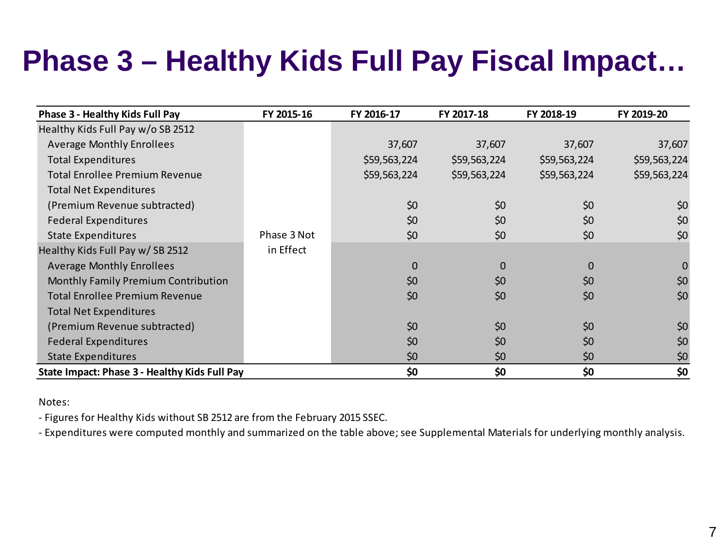### **Phase 3 – Healthy Kids Full Pay Fiscal Impact…**

| Phase 3 - Healthy Kids Full Pay               | FY 2015-16  | FY 2016-17   | FY 2017-18   | FY 2018-19   | FY 2019-20   |
|-----------------------------------------------|-------------|--------------|--------------|--------------|--------------|
| Healthy Kids Full Pay w/o SB 2512             |             |              |              |              |              |
| <b>Average Monthly Enrollees</b>              |             | 37,607       | 37,607       | 37,607       | 37,607       |
| <b>Total Expenditures</b>                     |             | \$59,563,224 | \$59,563,224 | \$59,563,224 | \$59,563,224 |
| <b>Total Enrollee Premium Revenue</b>         |             | \$59,563,224 | \$59,563,224 | \$59,563,224 | \$59,563,224 |
| <b>Total Net Expenditures</b>                 |             |              |              |              |              |
| (Premium Revenue subtracted)                  |             | \$0          | \$0          | \$0          | \$0          |
| <b>Federal Expenditures</b>                   |             | \$0          | \$0          | \$0          | \$0          |
| <b>State Expenditures</b>                     | Phase 3 Not | \$0          | \$0          | \$0          | \$0          |
| Healthy Kids Full Pay w/SB 2512               | in Effect   |              |              |              |              |
| <b>Average Monthly Enrollees</b>              |             | $\Omega$     | $\mathbf{0}$ | $\Omega$     | $\mathbf 0$  |
| Monthly Family Premium Contribution           |             | \$0          | \$0          | \$0          | \$0          |
| <b>Total Enrollee Premium Revenue</b>         |             | \$0          | \$0          | \$0          | \$0          |
| <b>Total Net Expenditures</b>                 |             |              |              |              |              |
| (Premium Revenue subtracted)                  |             | \$0          | \$0          | \$0          | \$0          |
| <b>Federal Expenditures</b>                   |             | \$0          | \$0          | \$0          | \$0          |
| <b>State Expenditures</b>                     |             | \$0          | \$0          | \$0          | \$0          |
| State Impact: Phase 3 - Healthy Kids Full Pay |             | \$0          | \$0          | \$0          | \$0          |

Notes:

- Figures for Healthy Kids without SB 2512 are from the February 2015 SSEC.

- Expenditures were computed monthly and summarized on the table above; see Supplemental Materials for underlying monthly analysis.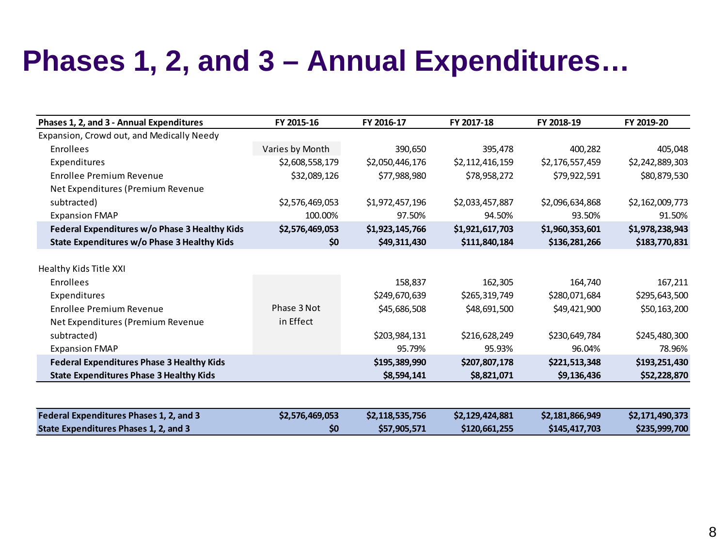### **Phases 1, 2, and 3 – Annual Expenditures…**

| Phases 1, 2, and 3 - Annual Expenditures         | FY 2015-16      | FY 2016-17      | FY 2017-18      | FY 2018-19      | FY 2019-20      |
|--------------------------------------------------|-----------------|-----------------|-----------------|-----------------|-----------------|
| Expansion, Crowd out, and Medically Needy        |                 |                 |                 |                 |                 |
| Enrollees                                        | Varies by Month | 390,650         | 395,478         | 400,282         | 405,048         |
| Expenditures                                     | \$2,608,558,179 | \$2,050,446,176 | \$2,112,416,159 | \$2,176,557,459 | \$2,242,889,303 |
| <b>Enrollee Premium Revenue</b>                  | \$32,089,126    | \$77,988,980    | \$78,958,272    | \$79,922,591    | \$80,879,530    |
| Net Expenditures (Premium Revenue                |                 |                 |                 |                 |                 |
| subtracted)                                      | \$2,576,469,053 | \$1,972,457,196 | \$2,033,457,887 | \$2,096,634,868 | \$2,162,009,773 |
| <b>Expansion FMAP</b>                            | 100.00%         | 97.50%          | 94.50%          | 93.50%          | 91.50%          |
| Federal Expenditures w/o Phase 3 Healthy Kids    | \$2,576,469,053 | \$1,923,145,766 | \$1,921,617,703 | \$1,960,353,601 | \$1,978,238,943 |
| State Expenditures w/o Phase 3 Healthy Kids      | \$0             | \$49,311,430    | \$111,840,184   | \$136,281,266   | \$183,770,831   |
|                                                  |                 |                 |                 |                 |                 |
| Healthy Kids Title XXI                           |                 |                 |                 |                 |                 |
| Enrollees                                        |                 | 158,837         | 162,305         | 164,740         | 167,211         |
| Expenditures                                     |                 | \$249,670,639   | \$265,319,749   | \$280,071,684   | \$295,643,500   |
| Enrollee Premium Revenue                         | Phase 3 Not     | \$45,686,508    | \$48,691,500    | \$49,421,900    | \$50,163,200    |
| Net Expenditures (Premium Revenue                | in Effect       |                 |                 |                 |                 |
| subtracted)                                      |                 | \$203,984,131   | \$216,628,249   | \$230,649,784   | \$245,480,300   |
| <b>Expansion FMAP</b>                            |                 | 95.79%          | 95.93%          | 96.04%          | 78.96%          |
| <b>Federal Expenditures Phase 3 Healthy Kids</b> |                 | \$195,389,990   | \$207,807,178   | \$221,513,348   | \$193,251,430   |
| <b>State Expenditures Phase 3 Healthy Kids</b>   |                 | \$8,594,141     | \$8,821,071     | \$9,136,436     | \$52,228,870    |
|                                                  |                 |                 |                 |                 |                 |
| Federal Expenditures Phases 1, 2, and 3          | \$2,576,469,053 | \$2,118,535,756 | \$2,129,424,881 | \$2,181,866,949 | \$2,171,490,373 |
| State Expenditures Phases 1, 2, and 3            | \$0             | \$57,905,571    | \$120,661,255   | \$145,417,703   | \$235,999,700   |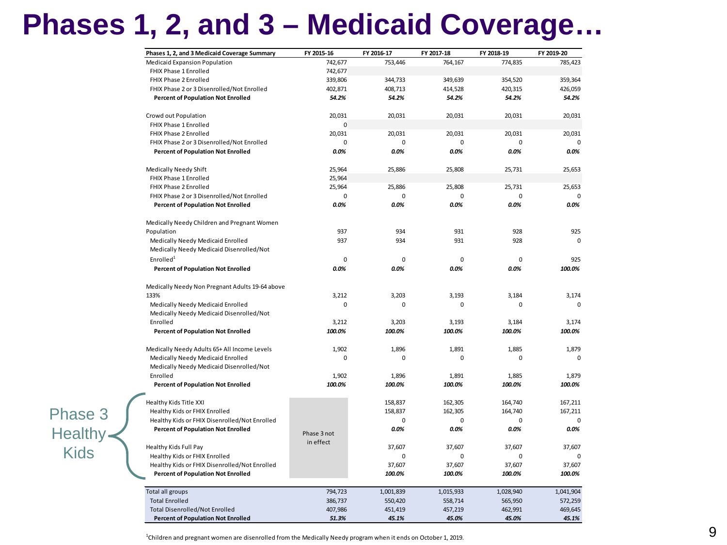### **Phases 1, 2, and 3 – Medicaid Coverage…**

| Phases 1, 2, and 3 Medicaid Coverage Summary    | FY 2015-16  | FY 2016-17 | FY 2017-18  | FY 2018-19  | FY 2019-20  |
|-------------------------------------------------|-------------|------------|-------------|-------------|-------------|
| Medicaid Expansion Population                   | 742,677     | 753,446    | 764,167     | 774,835     | 785,423     |
| FHIX Phase 1 Enrolled                           | 742,677     |            |             |             |             |
| FHIX Phase 2 Enrolled                           | 339,806     | 344,733    | 349,639     | 354,520     | 359,364     |
| FHIX Phase 2 or 3 Disenrolled/Not Enrolled      | 402,871     | 408,713    | 414,528     | 420,315     | 426,059     |
| <b>Percent of Population Not Enrolled</b>       | 54.2%       | 54.2%      | 54.2%       | 54.2%       | 54.2%       |
| Crowd out Population                            | 20,031      | 20,031     | 20,031      | 20,031      | 20,031      |
| FHIX Phase 1 Enrolled                           | 0           |            |             |             |             |
| FHIX Phase 2 Enrolled                           | 20,031      | 20,031     | 20,031      | 20,031      | 20,031      |
| FHIX Phase 2 or 3 Disenrolled/Not Enrolled      | 0           | 0          | $\mathbf 0$ | $\mathbf 0$ | 0           |
| <b>Percent of Population Not Enrolled</b>       | 0.0%        | 0.0%       | 0.0%        | $0.0\%$     | 0.0%        |
| Medically Needy Shift                           | 25,964      | 25,886     | 25,808      | 25,731      | 25,653      |
| FHIX Phase 1 Enrolled                           | 25,964      |            |             |             |             |
| FHIX Phase 2 Enrolled                           | 25,964      | 25,886     | 25,808      | 25,731      | 25,653      |
| FHIX Phase 2 or 3 Disenrolled/Not Enrolled      | $\Omega$    | $\Omega$   | $\Omega$    | $\Omega$    |             |
| <b>Percent of Population Not Enrolled</b>       | 0.0%        | 0.0%       | 0.0%        | 0.0%        | 0.0%        |
| Medically Needy Children and Pregnant Women     |             |            |             |             |             |
| Population                                      | 937         | 934        | 931         | 928         | 925         |
| Medically Needy Medicaid Enrolled               | 937         | 934        | 931         | 928         | $\mathbf 0$ |
| Medically Needy Medicaid Disenrolled/Not        |             |            |             |             |             |
| Enrolled <sup>1</sup>                           | $\mathbf 0$ | 0          | $\mathbf 0$ | $\mathbf 0$ | 925         |
| <b>Percent of Population Not Enrolled</b>       | 0.0%        | 0.0%       | 0.0%        | 0.0%        | 100.0%      |
| Medically Needy Non Pregnant Adults 19-64 above |             |            |             |             |             |
| 133%                                            | 3.212       | 3,203      | 3.193       | 3.184       | 3,174       |
| Medically Needy Medicaid Enrolled               | $\Omega$    | 0          | $\Omega$    | $\Omega$    | $\Omega$    |
| Medically Needy Medicaid Disenrolled/Not        |             |            |             |             |             |
| Enrolled                                        | 3,212       | 3,203      | 3,193       | 3,184       | 3,174       |
| <b>Percent of Population Not Enrolled</b>       | 100.0%      | 100.0%     | 100.0%      | 100.0%      | 100.0%      |
| Medically Needy Adults 65+ All Income Levels    | 1,902       | 1,896      | 1,891       | 1,885       | 1,879       |
| Medically Needy Medicaid Enrolled               | $\Omega$    | $\Omega$   | $\Omega$    | $\Omega$    | $\Omega$    |
| Medically Needy Medicaid Disenrolled/Not        |             |            |             |             |             |
| Enrolled                                        | 1,902       | 1,896      | 1,891       | 1,885       | 1,879       |
| <b>Percent of Population Not Enrolled</b>       | 100.0%      | 100.0%     | 100.0%      | 100.0%      | 100.0%      |
| Healthy Kids Title XXI                          |             | 158,837    | 162,305     | 164,740     | 167,211     |
| Healthy Kids or FHIX Enrolled                   |             | 158,837    | 162,305     | 164,740     | 167,211     |
| Healthy Kids or FHIX Disenrolled/Not Enrolled   |             | 0          | 0           | 0           | 0           |
| <b>Percent of Population Not Enrolled</b>       | Phase 3 not | 0.0%       | 0.0%        | 0.0%        | $0.0\%$     |
|                                                 | in effect   |            |             |             |             |
| Healthy Kids Full Pay                           |             | 37,607     | 37,607      | 37,607      | 37,607      |
| Healthy Kids or FHIX Enrolled                   |             | 0          | 0           | 0           | 0           |
| Healthy Kids or FHIX Disenrolled/Not Enrolled   |             | 37,607     | 37,607      | 37,607      | 37,607      |
| <b>Percent of Population Not Enrolled</b>       |             | 100.0%     | 100.0%      | 100.0%      | 100.0%      |
| Total all groups                                | 794,723     | 1,001,839  | 1,015,933   | 1,028,940   | 1,041,904   |
| <b>Total Enrolled</b>                           | 386,737     | 550,420    | 558,714     | 565,950     | 572,259     |
| <b>Total Disenrolled/Not Enrolled</b>           | 407,986     | 451,419    | 457,219     | 462,991     | 469,645     |
| <b>Percent of Population Not Enrolled</b>       | 51.3%       | 45.1%      | 45.0%       | 45.0%       | 45.1%       |

Phase 3 Healthy Kids

<sup>1</sup>Children and pregnant women are disenrolled from the Medically Needy program when it ends on October 1, 2019.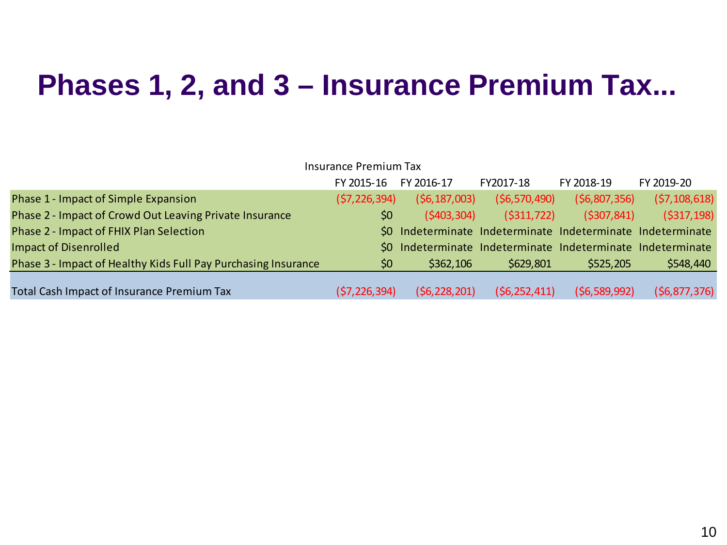#### **Phases 1, 2, and 3 – Insurance Premium Tax...**

|                                                                | <b>Insurance Premium Tax</b> |                                                             |                |                |                |
|----------------------------------------------------------------|------------------------------|-------------------------------------------------------------|----------------|----------------|----------------|
|                                                                | FY 2015-16                   | FY 2016-17                                                  | FY2017-18      | FY 2018-19     | FY 2019-20     |
| Phase 1 - Impact of Simple Expansion                           | (57, 226, 394)               | (56, 187, 003)                                              | (56, 570, 490) | (56,807,356)   | (57, 108, 618) |
| Phase 2 - Impact of Crowd Out Leaving Private Insurance        | \$0                          | (5403, 304)                                                 | (5311, 722)    | (5307, 841)    | (5317, 198)    |
| Phase 2 - Impact of FHIX Plan Selection                        |                              | \$0 Indeterminate Indeterminate Indeterminate Indeterminate |                |                |                |
| <b>Impact of Disenrolled</b>                                   |                              | \$0 Indeterminate Indeterminate Indeterminate Indeterminate |                |                |                |
| Phase 3 - Impact of Healthy Kids Full Pay Purchasing Insurance | $50^{\circ}$                 | \$362,106                                                   | \$629,801      | \$525,205      | \$548,440      |
| Total Cash Impact of Insurance Premium Tax                     | (\$7,226,394)                | (56, 228, 201)                                              | (56, 252, 411) | (56, 589, 992) | (56, 877, 376) |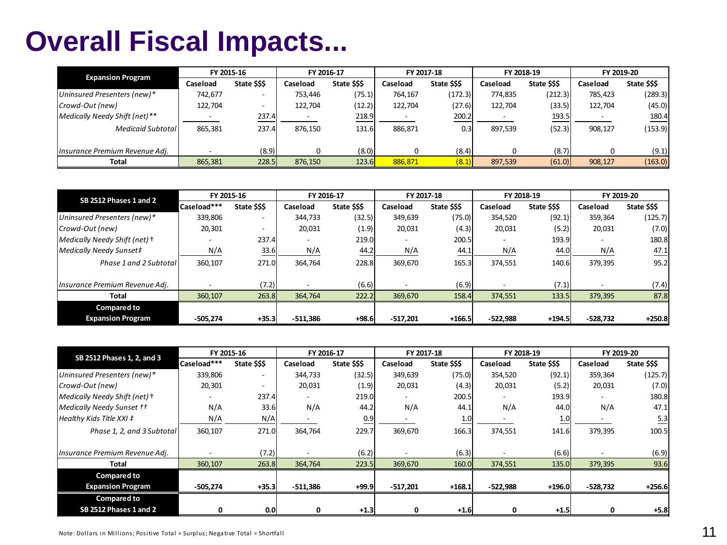#### **Overall Fiscal Impacts...**

| <b>Expansion Program</b>       |          | FY 2015-16               | FY 2016-17 |              | FY 2017-18 |              | FY 2018-19 |              | FY 2019-20 |              |
|--------------------------------|----------|--------------------------|------------|--------------|------------|--------------|------------|--------------|------------|--------------|
|                                | Caseload | State \$\$\$             | Caseload   | State \$\$\$ | Caseload   | State \$\$\$ | Caseload   | State \$\$\$ | Caseload   | State \$\$\$ |
| Uninsured Presenters (new)*    | 742,677  |                          | 753,446    | (75.1)       | 764.167    | (172.3)      | 774.835    | (212.3)      | 785.423    | (289.3)      |
| Crowd-Out (new)                | 122.704  | $\overline{\phantom{0}}$ | 122.704    | (12.2)       | 122.704    | (27.6)       | 122.704    | (33.5)       | 122,704    | (45.0)       |
| Medically Needy Shift (net)**  |          | 237.4                    |            | 218.9        |            | 200.2        |            | 193.5        |            | 180.4        |
| Medicaid Subtotal              | 865.381  | 237.4                    | 876,150    | 131.6        | 886,871    | 0.3          | 897,539    | (52.3)       | 908.127    | (153.9)      |
| Insurance Premium Revenue Adj. |          | (8.9)                    |            | (8.0)        |            | (8.4)        |            | (8.7)        |            | (9.1)        |
| <b>Total</b>                   | 865,381  | 228.5                    | 876,150    | 123.6        | 886.871    | (8.1)        | 897,539    | (61.0)       | 908,127    | (163.0)      |

| SB 2512 Phases 1 and 2         |             | FY 2015-16               | FY 2016-17               |              | FY 2017-18               |              | FY 2018-19               |              | FY 2019-20               |              |
|--------------------------------|-------------|--------------------------|--------------------------|--------------|--------------------------|--------------|--------------------------|--------------|--------------------------|--------------|
|                                | Caseload*** | State \$\$\$             | Caseload                 | State \$\$\$ | Caseload                 | State \$\$\$ | Caseload                 | State \$\$\$ | Caseload                 | State \$\$\$ |
| Uninsured Presenters (new)*    | 339,806     | $\overline{\phantom{0}}$ | 344.733                  | (32.5)       | 349,639                  | (75.0)       | 354,520                  | (92.1)       | 359,364                  | (125.7)      |
| Crowd-Out (new)                | 20,301      |                          | 20,031                   | (1.9)        | 20,031                   | (4.3)        | 20,031                   | (5.2)        | 20,031                   | (7.0)        |
| Medically Needy Shift (net) +  |             | 237.4                    | $\overline{\phantom{0}}$ | 219.0        | $\overline{\phantom{a}}$ | 200.5        | $\overline{\phantom{a}}$ | 193.9        | $\overline{\phantom{a}}$ | 180.8        |
| Medically Needy Sunset#        | N/A         | 33.6                     | N/A                      | 44.2         | N/A                      | 44.1         | N/A                      | 44.0         | N/A                      | 47.1         |
| Phase 1 and 2 Subtotal         | 360,107     | 271.0                    | 364,764                  | 228.8        | 369,670                  | 165.3        | 374,551                  | 140.6        | 379,395                  | 95.2         |
| Insurance Premium Revenue Adi. |             | (7.2)                    |                          | (6.6)        |                          | (6.9)        |                          | (7.1)        | $\overline{\phantom{0}}$ | (7.4)        |
| <b>Total</b>                   | 360,107     | 263.8                    | 364,764                  | 222.2        | 369,670                  | 158.4        | 374,551                  | 133.5        | 379,395                  | 87.8         |
| <b>Compared to</b>             |             |                          |                          |              |                          |              |                          |              |                          |              |
| <b>Expansion Program</b>       | $-505.274$  | $+35.3$                  | $-511.386$               | $+98.6$      | $-517.201$               | $+166.5$     | $-522.988$               | $+194.5$     | $-528.732$               | $+250.8$     |

| SB 2512 Phases 1, 2, and 3        |             | FY 2015-16               |                          | FY 2016-17   | FY 2017-18 |              | FY 2018-19 |              | FY 2019-20 |              |
|-----------------------------------|-------------|--------------------------|--------------------------|--------------|------------|--------------|------------|--------------|------------|--------------|
|                                   | Caseload*** | State \$\$\$             | Caseload                 | State \$\$\$ | Caseload   | State \$\$\$ | Caseload   | State \$\$\$ | Caseload   | State \$\$\$ |
| Uninsured Presenters (new)*       | 339,806     | $\overline{\phantom{0}}$ | 344,733                  | (32.5)       | 349,639    | (75.0)       | 354,520    | (92.1)       | 359,364    | (125.7)      |
| Crowd-Out (new)                   | 20,301      |                          | 20,031                   | (1.9)        | 20,031     | (4.3)        | 20,031     | (5.2)        | 20,031     | (7.0)        |
| Medically Needy Shift (net) +     |             | 237.4                    | $\overline{\phantom{a}}$ | 219.0        |            | 200.5        | -          | 193.9        | -          | 180.8        |
| Medically Needy Sunset ††         | N/A         | 33.6                     | N/A                      | 44.2         | N/A        | 44.1         | N/A        | 44.0         | N/A        | 47.1         |
| Healthy Kids Title XXI $\ddagger$ | N/A         | N/A                      |                          | 0.9          |            | 1.0          |            | 1.0          |            | 5.3          |
| Phase 1, 2, and 3 Subtotal        | 360,107     | 271.0                    | 364,764                  | 229.7        | 369,670    | 166.3        | 374,551    | 141.6        | 379,395    | 100.5        |
| Insurance Premium Revenue Adj.    |             | (7.2)                    |                          | (6.2)        |            | (6.3)        |            | (6.6)        |            | (6.9)        |
| <b>Total</b>                      | 360,107     | 263.8                    | 364,764                  | 223.5        | 369,670    | 160.0        | 374,551    | 135.0        | 379,395    | 93.6         |
| <b>Compared to</b>                |             |                          |                          |              |            |              |            |              |            |              |
| <b>Expansion Program</b>          | $-505,274$  | $+35.3$                  | $-511,386$               | $+99.9$      | $-517,201$ | $+168.1$     | $-522,988$ | $+196.0$     | -528,732   | $+256.6$     |
| <b>Compared to</b>                |             |                          |                          |              |            |              |            |              |            |              |
| SB 2512 Phases 1 and 2            | 0           | 0.0                      |                          | $+1.3$       | 0          | $+1.6$       | 0          | $+1.5$       | 0          | $+5.8$       |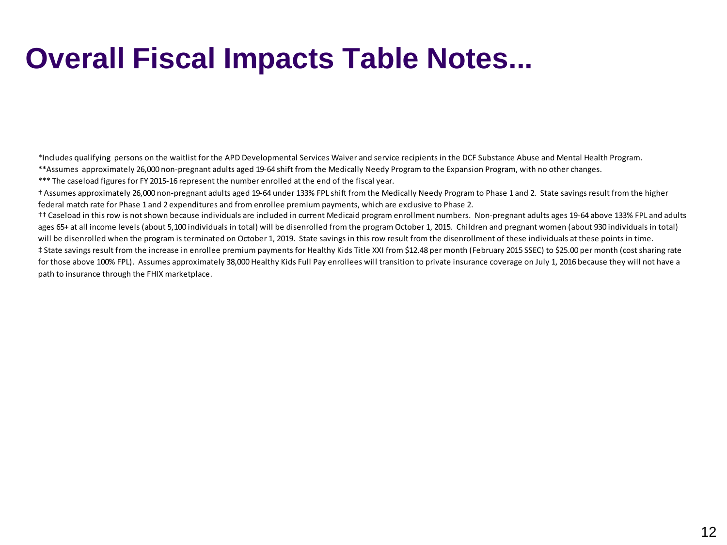### **Overall Fiscal Impacts Table Notes...**

\*Includes qualifying persons on the waitlist for the APD Developmental Services Waiver and service recipients in the DCF Substance Abuse and Mental Health Program.

- \*\*Assumes approximately 26,000 non-pregnant adults aged 19-64 shift from the Medically Needy Program to the Expansion Program, with no other changes.
- \*\*\* The caseload figures for FY 2015-16 represent the number enrolled at the end of the fiscal year.
- † Assumes approximately 26,000 non-pregnant adults aged 19-64 under 133% FPL shift from the Medically Needy Program to Phase 1 and 2. State savings result from the higher federal match rate for Phase 1 and 2 expenditures and from enrollee premium payments, which are exclusive to Phase 2.
- ages 65+ at all income levels (about 5,100 individuals in total) will be disenrolled from the program October 1, 2015. Children and pregnant women (about 930 individuals in total) will be disenrolled when the program is terminated on October 1, 2019. State savings in this row result from the disenrollment of these individuals at these points in time. †† Caseload in this row is not shown because individuals are included in current Medicaid program enrollment numbers. Non-pregnant adults ages 19-64 above 133% FPL and adults
- for those above 100% FPL). Assumes approximately 38,000 Healthy Kids Full Pay enrollees will transition to private insurance coverage on July 1, 2016 because they will not have a path to insurance through the FHIX marketplace. ‡ State savings result from the increase in enrollee premium payments for Healthy Kids Title XXI from \$12.48 per month (February 2015 SSEC) to \$25.00 per month (cost sharing rate